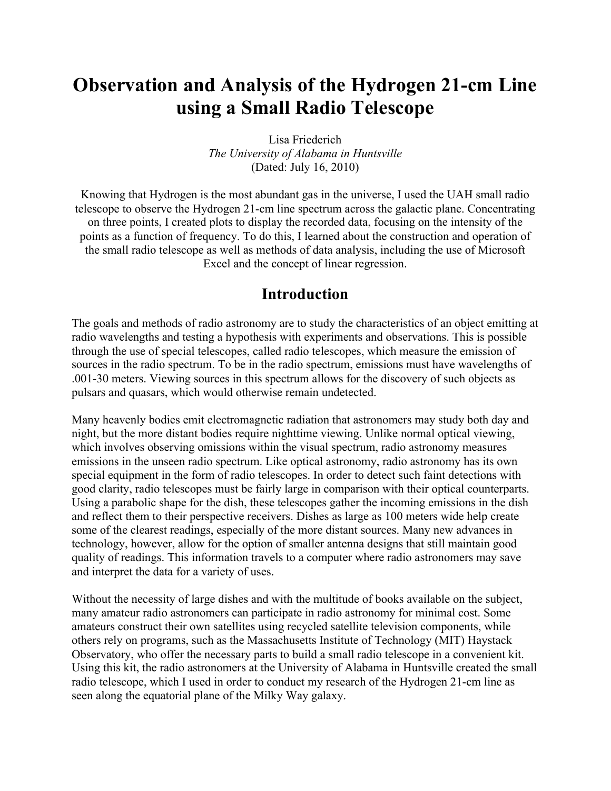# **Observation and Analysis of the Hydrogen 21-cm Line using a Small Radio Telescope**

Lisa Friederich *The University of Alabama in Huntsville* (Dated: July 16, 2010)

Knowing that Hydrogen is the most abundant gas in the universe, I used the UAH small radio telescope to observe the Hydrogen 21-cm line spectrum across the galactic plane. Concentrating on three points, I created plots to display the recorded data, focusing on the intensity of the points as a function of frequency. To do this, I learned about the construction and operation of the small radio telescope as well as methods of data analysis, including the use of Microsoft Excel and the concept of linear regression.

## **Introduction**

The goals and methods of radio astronomy are to study the characteristics of an object emitting at radio wavelengths and testing a hypothesis with experiments and observations. This is possible through the use of special telescopes, called radio telescopes, which measure the emission of sources in the radio spectrum. To be in the radio spectrum, emissions must have wavelengths of .001-30 meters. Viewing sources in this spectrum allows for the discovery of such objects as pulsars and quasars, which would otherwise remain undetected.

Many heavenly bodies emit electromagnetic radiation that astronomers may study both day and night, but the more distant bodies require nighttime viewing. Unlike normal optical viewing, which involves observing omissions within the visual spectrum, radio astronomy measures emissions in the unseen radio spectrum. Like optical astronomy, radio astronomy has its own special equipment in the form of radio telescopes. In order to detect such faint detections with good clarity, radio telescopes must be fairly large in comparison with their optical counterparts. Using a parabolic shape for the dish, these telescopes gather the incoming emissions in the dish and reflect them to their perspective receivers. Dishes as large as 100 meters wide help create some of the clearest readings, especially of the more distant sources. Many new advances in technology, however, allow for the option of smaller antenna designs that still maintain good quality of readings. This information travels to a computer where radio astronomers may save and interpret the data for a variety of uses.

Without the necessity of large dishes and with the multitude of books available on the subject, many amateur radio astronomers can participate in radio astronomy for minimal cost. Some amateurs construct their own satellites using recycled satellite television components, while others rely on programs, such as the Massachusetts Institute of Technology (MIT) Haystack Observatory, who offer the necessary parts to build a small radio telescope in a convenient kit. Using this kit, the radio astronomers at the University of Alabama in Huntsville created the small radio telescope, which I used in order to conduct my research of the Hydrogen 21-cm line as seen along the equatorial plane of the Milky Way galaxy.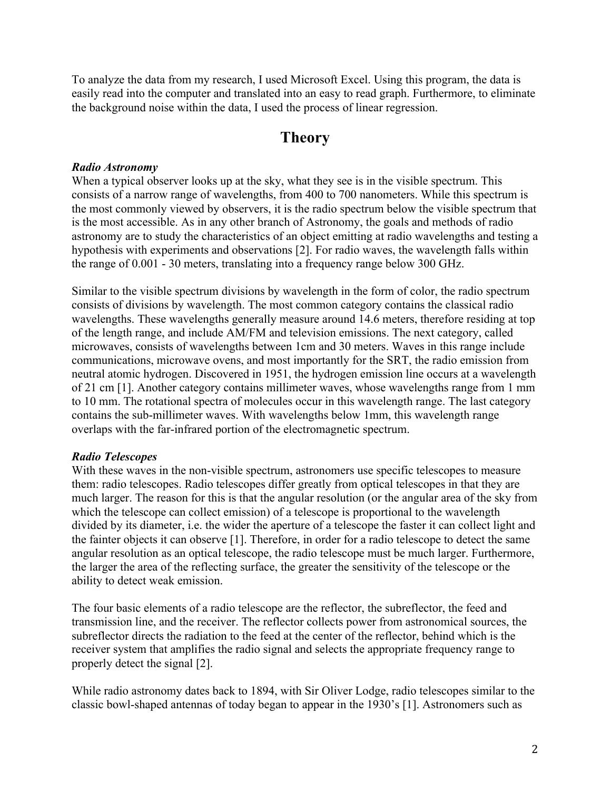To analyze the data from my research, I used Microsoft Excel. Using this program, the data is easily read into the computer and translated into an easy to read graph. Furthermore, to eliminate the background noise within the data, I used the process of linear regression.

## **Theory**

#### *Radio Astronomy*

When a typical observer looks up at the sky, what they see is in the visible spectrum. This consists of a narrow range of wavelengths, from 400 to 700 nanometers. While this spectrum is the most commonly viewed by observers, it is the radio spectrum below the visible spectrum that is the most accessible. As in any other branch of Astronomy, the goals and methods of radio astronomy are to study the characteristics of an object emitting at radio wavelengths and testing a hypothesis with experiments and observations [2]. For radio waves, the wavelength falls within the range of 0.001 - 30 meters, translating into a frequency range below 300 GHz.

Similar to the visible spectrum divisions by wavelength in the form of color, the radio spectrum consists of divisions by wavelength. The most common category contains the classical radio wavelengths. These wavelengths generally measure around 14.6 meters, therefore residing at top of the length range, and include AM/FM and television emissions. The next category, called microwaves, consists of wavelengths between 1cm and 30 meters. Waves in this range include communications, microwave ovens, and most importantly for the SRT, the radio emission from neutral atomic hydrogen. Discovered in 1951, the hydrogen emission line occurs at a wavelength of 21 cm [1]. Another category contains millimeter waves, whose wavelengths range from 1 mm to 10 mm. The rotational spectra of molecules occur in this wavelength range. The last category contains the sub-millimeter waves. With wavelengths below 1mm, this wavelength range overlaps with the far-infrared portion of the electromagnetic spectrum.

### *Radio Telescopes*

With these waves in the non-visible spectrum, astronomers use specific telescopes to measure them: radio telescopes. Radio telescopes differ greatly from optical telescopes in that they are much larger. The reason for this is that the angular resolution (or the angular area of the sky from which the telescope can collect emission) of a telescope is proportional to the wavelength divided by its diameter, i.e. the wider the aperture of a telescope the faster it can collect light and the fainter objects it can observe [1]. Therefore, in order for a radio telescope to detect the same angular resolution as an optical telescope, the radio telescope must be much larger. Furthermore, the larger the area of the reflecting surface, the greater the sensitivity of the telescope or the ability to detect weak emission.

The four basic elements of a radio telescope are the reflector, the subreflector, the feed and transmission line, and the receiver. The reflector collects power from astronomical sources, the subreflector directs the radiation to the feed at the center of the reflector, behind which is the receiver system that amplifies the radio signal and selects the appropriate frequency range to properly detect the signal [2].

While radio astronomy dates back to 1894, with Sir Oliver Lodge, radio telescopes similar to the classic bowl-shaped antennas of today began to appear in the 1930's [1]. Astronomers such as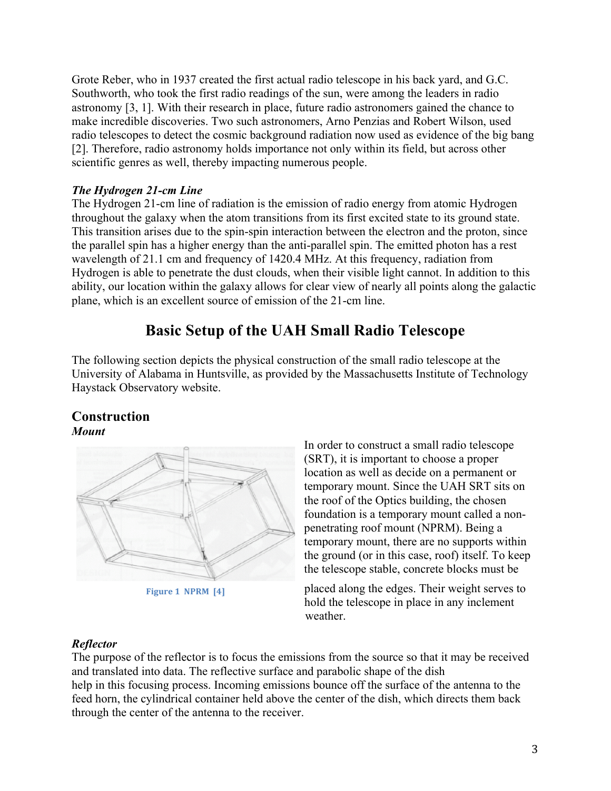Grote Reber, who in 1937 created the first actual radio telescope in his back yard, and G.C. Southworth, who took the first radio readings of the sun, were among the leaders in radio astronomy [3, 1]. With their research in place, future radio astronomers gained the chance to make incredible discoveries. Two such astronomers, Arno Penzias and Robert Wilson, used radio telescopes to detect the cosmic background radiation now used as evidence of the big bang [2]. Therefore, radio astronomy holds importance not only within its field, but across other scientific genres as well, thereby impacting numerous people.

### *The Hydrogen 21-cm Line*

The Hydrogen 21-cm line of radiation is the emission of radio energy from atomic Hydrogen throughout the galaxy when the atom transitions from its first excited state to its ground state. This transition arises due to the spin-spin interaction between the electron and the proton, since the parallel spin has a higher energy than the anti-parallel spin. The emitted photon has a rest wavelength of 21.1 cm and frequency of 1420.4 MHz. At this frequency, radiation from Hydrogen is able to penetrate the dust clouds, when their visible light cannot. In addition to this ability, our location within the galaxy allows for clear view of nearly all points along the galactic plane, which is an excellent source of emission of the 21-cm line.

## **Basic Setup of the UAH Small Radio Telescope**

The following section depicts the physical construction of the small radio telescope at the University of Alabama in Huntsville, as provided by the Massachusetts Institute of Technology Haystack Observatory website.

### **Construction** *Mount*



**Figure 1 NPRM [4]** 

In order to construct a small radio telescope (SRT), it is important to choose a proper location as well as decide on a permanent or temporary mount. Since the UAH SRT sits on the roof of the Optics building, the chosen foundation is a temporary mount called a nonpenetrating roof mount (NPRM). Being a temporary mount, there are no supports within the ground (or in this case, roof) itself. To keep the telescope stable, concrete blocks must be

placed along the edges. Their weight serves to hold the telescope in place in any inclement weather.

### *Reflector*

The purpose of the reflector is to focus the emissions from the source so that it may be received and translated into data. The reflective surface and parabolic shape of the dish help in this focusing process. Incoming emissions bounce off the surface of the antenna to the feed horn, the cylindrical container held above the center of the dish, which directs them back through the center of the antenna to the receiver.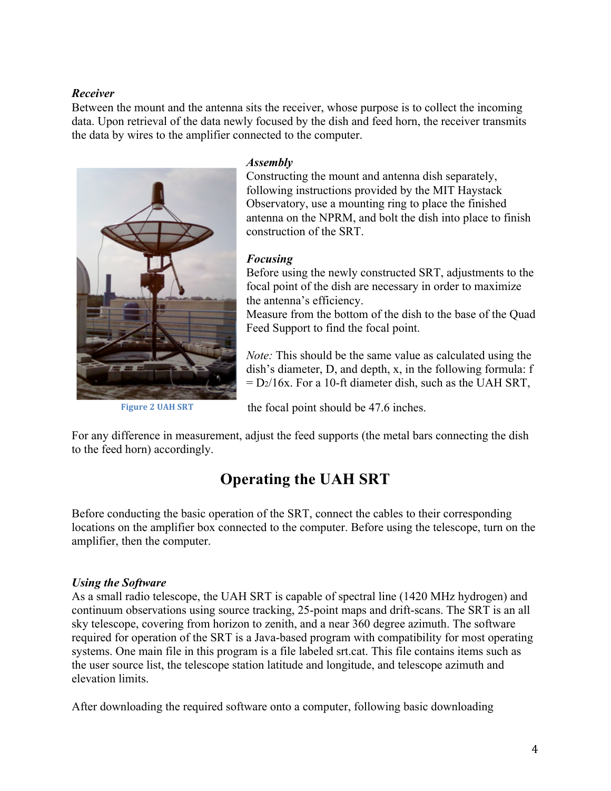### *Receiver*

Between the mount and the antenna sits the receiver, whose purpose is to collect the incoming data. Upon retrieval of the data newly focused by the dish and feed horn, the receiver transmits the data by wires to the amplifier connected to the computer.



**Figure 2 UAH SRT** 

#### *Assembly*

Constructing the mount and antenna dish separately, following instructions provided by the MIT Haystack Observatory, use a mounting ring to place the finished antenna on the NPRM, and bolt the dish into place to finish construction of the SRT.

### *Focusing*

Before using the newly constructed SRT, adjustments to the focal point of the dish are necessary in order to maximize the antenna's efficiency.

Measure from the bottom of the dish to the base of the Quad Feed Support to find the focal point.

*Note:* This should be the same value as calculated using the dish's diameter, D, and depth, x, in the following formula: f  $= D<sub>2</sub>/16x$ . For a 10-ft diameter dish, such as the UAH SRT,

the focal point should be 47.6 inches.

For any difference in measurement, adjust the feed supports (the metal bars connecting the dish to the feed horn) accordingly.

## **Operating the UAH SRT**

Before conducting the basic operation of the SRT, connect the cables to their corresponding locations on the amplifier box connected to the computer. Before using the telescope, turn on the amplifier, then the computer.

### *Using the Software*

As a small radio telescope, the UAH SRT is capable of spectral line (1420 MHz hydrogen) and continuum observations using source tracking, 25-point maps and drift-scans. The SRT is an all sky telescope, covering from horizon to zenith, and a near 360 degree azimuth. The software required for operation of the SRT is a Java-based program with compatibility for most operating systems. One main file in this program is a file labeled srt.cat. This file contains items such as the user source list, the telescope station latitude and longitude, and telescope azimuth and elevation limits.

After downloading the required software onto a computer, following basic downloading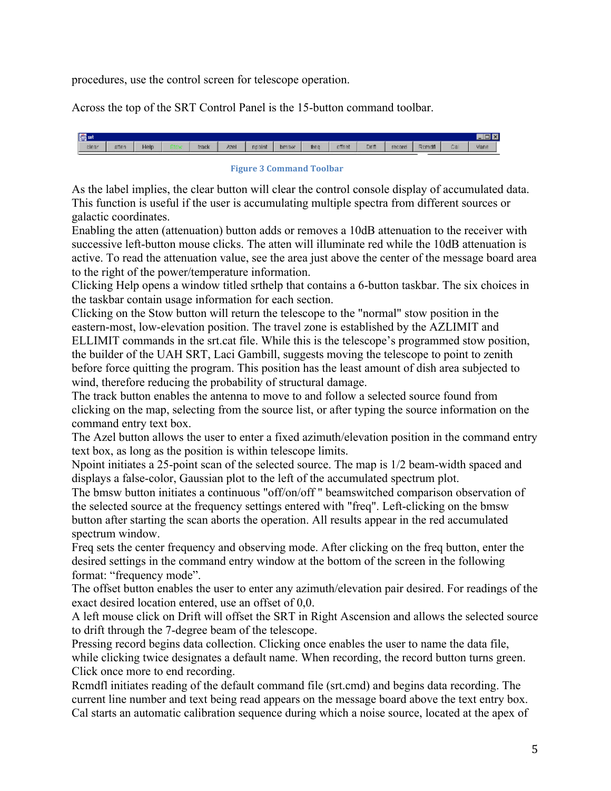procedures, use the control screen for telescope operation.

Across the top of the SRT Control Panel is the 15-button command toolbar.

|      |             |      |        |       |        |      |      |        |      |       |      |       | <b>Signat</b> |
|------|-------------|------|--------|-------|--------|------|------|--------|------|-------|------|-------|---------------|
| 40 M | Vane<br>Cal | Rem. | record | Drift | offset | frer | bmsw | nooint | Azel | track | Help | atten | clear         |

#### **Figure 3 Command Toolbar**

As the label implies, the clear button will clear the control console display of accumulated data. This function is useful if the user is accumulating multiple spectra from different sources or galactic coordinates.

Enabling the atten (attenuation) button adds or removes a 10dB attenuation to the receiver with successive left-button mouse clicks. The atten will illuminate red while the 10dB attenuation is active. To read the attenuation value, see the area just above the center of the message board area to the right of the power/temperature information.

Clicking Help opens a window titled srthelp that contains a 6-button taskbar. The six choices in the taskbar contain usage information for each section.

Clicking on the Stow button will return the telescope to the "normal" stow position in the eastern-most, low-elevation position. The travel zone is established by the AZLIMIT and ELLIMIT commands in the srt.cat file. While this is the telescope's programmed stow position, the builder of the UAH SRT, Laci Gambill, suggests moving the telescope to point to zenith before force quitting the program. This position has the least amount of dish area subjected to wind, therefore reducing the probability of structural damage.

The track button enables the antenna to move to and follow a selected source found from clicking on the map, selecting from the source list, or after typing the source information on the command entry text box.

The Azel button allows the user to enter a fixed azimuth/elevation position in the command entry text box, as long as the position is within telescope limits.

Npoint initiates a 25-point scan of the selected source. The map is 1/2 beam-width spaced and displays a false-color, Gaussian plot to the left of the accumulated spectrum plot.

The bmsw button initiates a continuous "off/on/off " beamswitched comparison observation of the selected source at the frequency settings entered with "freq". Left-clicking on the bmsw button after starting the scan aborts the operation. All results appear in the red accumulated spectrum window.

Freq sets the center frequency and observing mode. After clicking on the freq button, enter the desired settings in the command entry window at the bottom of the screen in the following format: "frequency mode".

The offset button enables the user to enter any azimuth/elevation pair desired. For readings of the exact desired location entered, use an offset of 0,0.

A left mouse click on Drift will offset the SRT in Right Ascension and allows the selected source to drift through the 7-degree beam of the telescope.

Pressing record begins data collection. Clicking once enables the user to name the data file, while clicking twice designates a default name. When recording, the record button turns green. Click once more to end recording.

Rcmdfl initiates reading of the default command file (srt.cmd) and begins data recording. The current line number and text being read appears on the message board above the text entry box. Cal starts an automatic calibration sequence during which a noise source, located at the apex of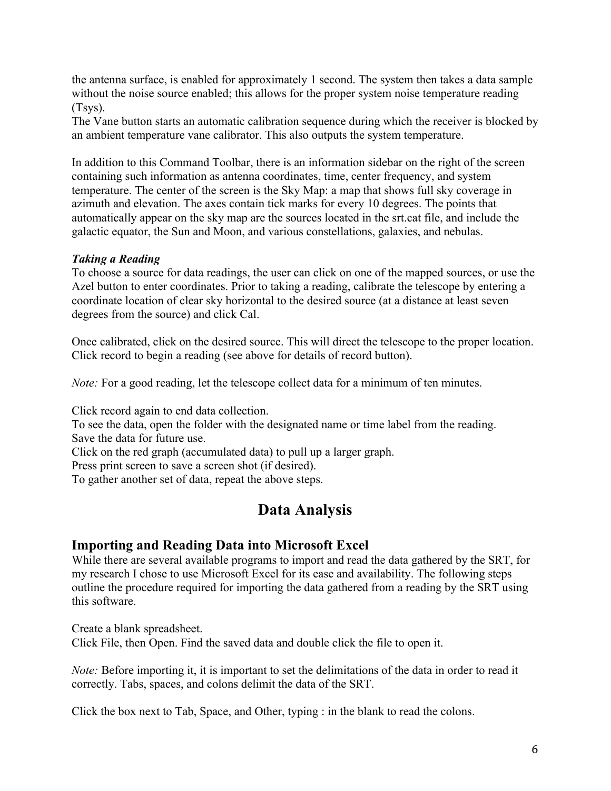the antenna surface, is enabled for approximately 1 second. The system then takes a data sample without the noise source enabled; this allows for the proper system noise temperature reading (Tsys).

The Vane button starts an automatic calibration sequence during which the receiver is blocked by an ambient temperature vane calibrator. This also outputs the system temperature.

In addition to this Command Toolbar, there is an information sidebar on the right of the screen containing such information as antenna coordinates, time, center frequency, and system temperature. The center of the screen is the Sky Map: a map that shows full sky coverage in azimuth and elevation. The axes contain tick marks for every 10 degrees. The points that automatically appear on the sky map are the sources located in the srt.cat file, and include the galactic equator, the Sun and Moon, and various constellations, galaxies, and nebulas.

## *Taking a Reading*

To choose a source for data readings, the user can click on one of the mapped sources, or use the Azel button to enter coordinates. Prior to taking a reading, calibrate the telescope by entering a coordinate location of clear sky horizontal to the desired source (at a distance at least seven degrees from the source) and click Cal.

Once calibrated, click on the desired source. This will direct the telescope to the proper location. Click record to begin a reading (see above for details of record button).

*Note:* For a good reading, let the telescope collect data for a minimum of ten minutes.

Click record again to end data collection.

To see the data, open the folder with the designated name or time label from the reading. Save the data for future use.

Click on the red graph (accumulated data) to pull up a larger graph.

Press print screen to save a screen shot (if desired).

To gather another set of data, repeat the above steps.

## **Data Analysis**

## **Importing and Reading Data into Microsoft Excel**

While there are several available programs to import and read the data gathered by the SRT, for my research I chose to use Microsoft Excel for its ease and availability. The following steps outline the procedure required for importing the data gathered from a reading by the SRT using this software.

Create a blank spreadsheet. Click File, then Open. Find the saved data and double click the file to open it.

*Note:* Before importing it, it is important to set the delimitations of the data in order to read it correctly. Tabs, spaces, and colons delimit the data of the SRT.

Click the box next to Tab, Space, and Other, typing : in the blank to read the colons.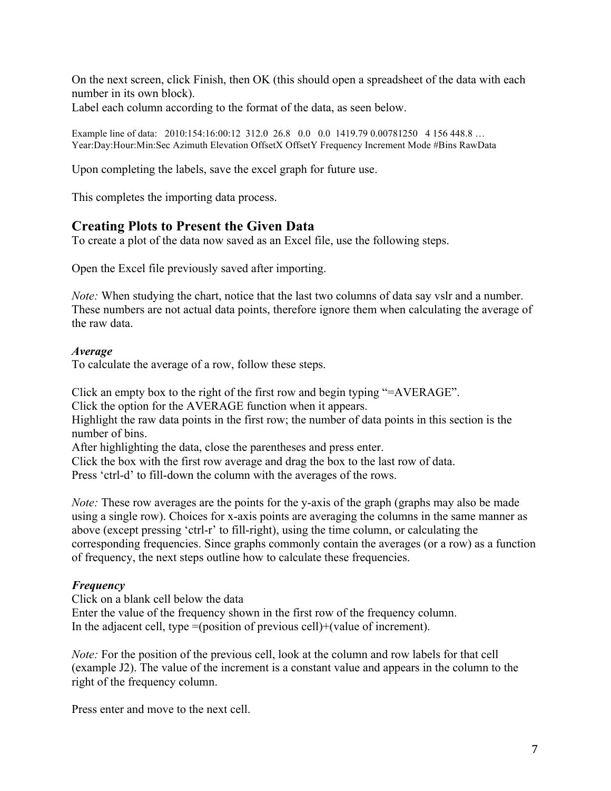On the next screen, click Finish, then OK (this should open a spreadsheet of the data with each number in its own block).

Label each column according to the format of the data, as seen below.

Example line of data: 2010:154:16:00:12 312.0 26.8 0.0 0.0 1419.79 0.00781250 4 156 448.8 … Year:Day:Hour:Min:Sec Azimuth Elevation OffsetX OffsetY Frequency Increment Mode #Bins RawData

Upon completing the labels, save the excel graph for future use.

This completes the importing data process.

## **Creating Plots to Present the Given Data**

To create a plot of the data now saved as an Excel file, use the following steps.

Open the Excel file previously saved after importing.

*Note:* When studying the chart, notice that the last two columns of data say vslr and a number. These numbers are not actual data points, therefore ignore them when calculating the average of the raw data.

#### *Average*

To calculate the average of a row, follow these steps.

Click an empty box to the right of the first row and begin typing "=AVERAGE".

Click the option for the AVERAGE function when it appears.

Highlight the raw data points in the first row; the number of data points in this section is the number of bins.

After highlighting the data, close the parentheses and press enter.

Click the box with the first row average and drag the box to the last row of data.

Press 'ctrl-d' to fill-down the column with the averages of the rows.

*Note:* These row averages are the points for the y-axis of the graph (graphs may also be made using a single row). Choices for x-axis points are averaging the columns in the same manner as above (except pressing 'ctrl-r' to fill-right), using the time column, or calculating the corresponding frequencies. Since graphs commonly contain the averages (or a row) as a function of frequency, the next steps outline how to calculate these frequencies.

### *Frequency*

Click on a blank cell below the data Enter the value of the frequency shown in the first row of the frequency column. In the adjacent cell, type =(position of previous cell)+(value of increment).

*Note:* For the position of the previous cell, look at the column and row labels for that cell (example J2). The value of the increment is a constant value and appears in the column to the right of the frequency column.

Press enter and move to the next cell.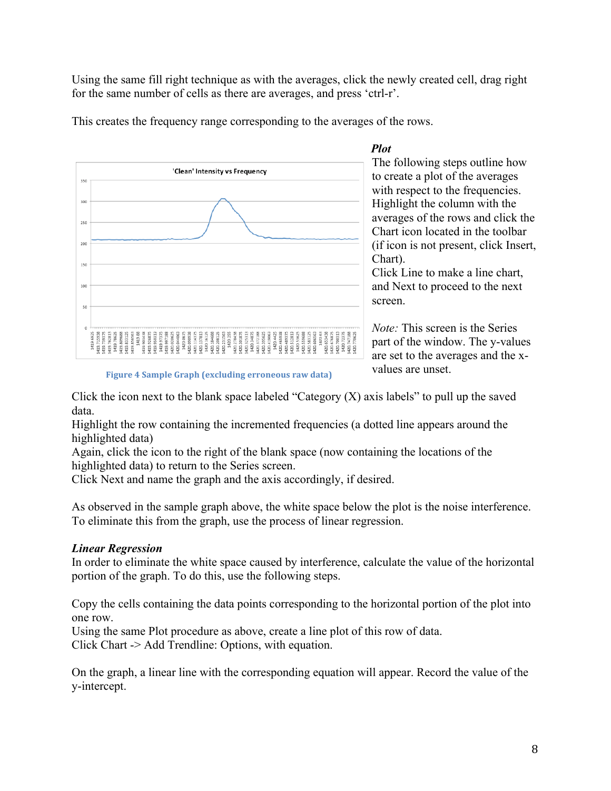Using the same fill right technique as with the averages, click the newly created cell, drag right for the same number of cells as there are averages, and press 'ctrl-r'.



This creates the frequency range corresponding to the averages of the rows.

The following steps outline how to create a plot of the averages with respect to the frequencies. Highlight the column with the averages of the rows and click the Chart icon located in the toolbar (if icon is not present, click Insert, Chart).

 *Plot*

Click Line to make a line chart, and Next to proceed to the next screen.

*Note:* This screen is the Series part of the window. The y-values are set to the averages and the xvalues are unset.

**Figure 4 Sample Graph (excluding erroneous raw data)** 

Click the icon next to the blank space labeled "Category  $(X)$  axis labels" to pull up the saved data.

Highlight the row containing the incremented frequencies (a dotted line appears around the highlighted data)

Again, click the icon to the right of the blank space (now containing the locations of the highlighted data) to return to the Series screen.

Click Next and name the graph and the axis accordingly, if desired.

As observed in the sample graph above, the white space below the plot is the noise interference. To eliminate this from the graph, use the process of linear regression.

### *Linear Regression*

In order to eliminate the white space caused by interference, calculate the value of the horizontal portion of the graph. To do this, use the following steps.

Copy the cells containing the data points corresponding to the horizontal portion of the plot into one row.

Using the same Plot procedure as above, create a line plot of this row of data. Click Chart -> Add Trendline: Options, with equation.

On the graph, a linear line with the corresponding equation will appear. Record the value of the y-intercept.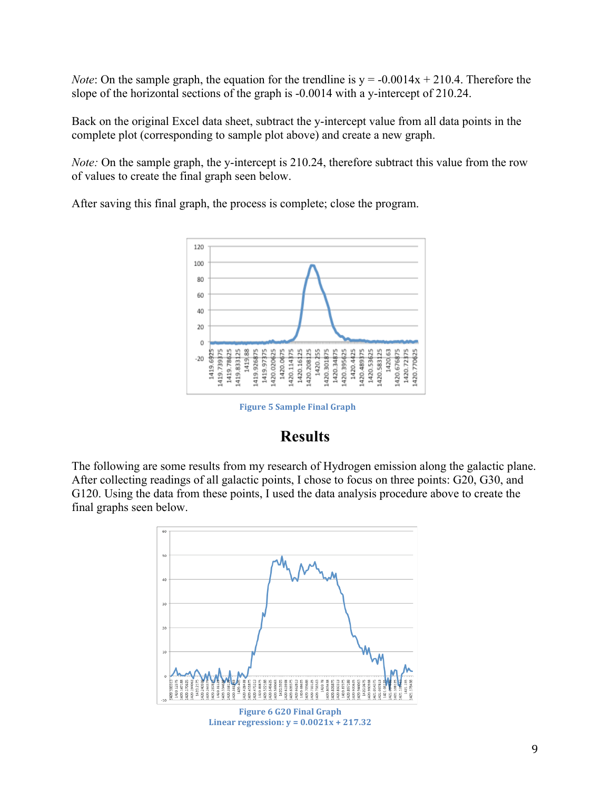*Note*: On the sample graph, the equation for the trendline is  $y = -0.0014x + 210.4$ . Therefore the slope of the horizontal sections of the graph is -0.0014 with a y-intercept of 210.24.

Back on the original Excel data sheet, subtract the y-intercept value from all data points in the complete plot (corresponding to sample plot above) and create a new graph.

*Note:* On the sample graph, the y-intercept is 210.24, therefore subtract this value from the row of values to create the final graph seen below.

After saving this final graph, the process is complete; close the program.



**Figure 5 Sample Final Graph** 

## **Results**

The following are some results from my research of Hydrogen emission along the galactic plane. After collecting readings of all galactic points, I chose to focus on three points: G20, G30, and G120. Using the data from these points, I used the data analysis procedure above to create the final graphs seen below.

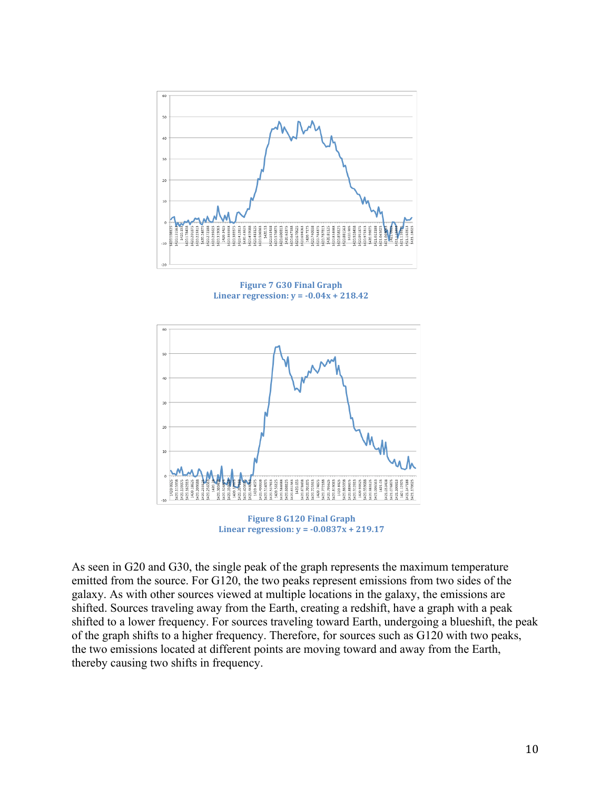

**Figure 7 G30 Final Graph Linear regression:**  $y = -0.04x + 218.42$ 



**Linear regression:**  $y = -0.0837x + 219.17$ 

As seen in G20 and G30, the single peak of the graph represents the maximum temperature emitted from the source. For G120, the two peaks represent emissions from two sides of the galaxy. As with other sources viewed at multiple locations in the galaxy, the emissions are shifted. Sources traveling away from the Earth, creating a redshift, have a graph with a peak shifted to a lower frequency. For sources traveling toward Earth, undergoing a blueshift, the peak of the graph shifts to a higher frequency. Therefore, for sources such as G120 with two peaks, the two emissions located at different points are moving toward and away from the Earth, thereby causing two shifts in frequency.